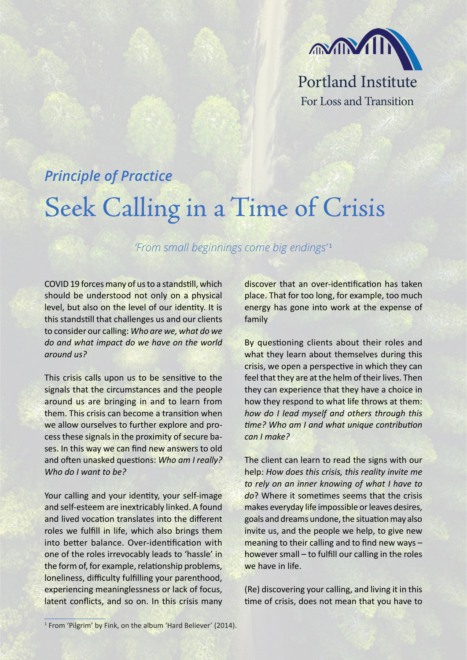

## *Principle of Practice*

## Seek Calling in a Time of Crisis

## *'From small beginnings come big endings'* <sup>1</sup>

COVID 19 forces many of us to a standstill, which should be understood not only on a physical level, but also on the level of our identity. It is this standstill that challenges us and our clients to consider our calling: *Who are we, what do we do and what impact do we have on the world around us?* 

This crisis calls upon us to be sensitive to the signals that the circumstances and the people around us are bringing in and to learn from them. This crisis can become a transition when we allow ourselves to further explore and process these signals in the proximity of secure bases. In this way we can find new answers to old and often unasked questions: *Who am I really? Who do I want to be?*

Your calling and your identity, your self-image and self-esteem are inextricably linked. A found and lived vocation translates into the different roles we fulfill in life, which also brings them into better balance. Over-identification with one of the roles irrevocably leads to 'hassle' in the form of, for example, relationship problems, loneliness, difficulty fulfilling your parenthood, experiencing meaninglessness or lack of focus, latent conflicts, and so on. In this crisis many discover that an over-identification has taken place. That for too long, for example, too much energy has gone into work at the expense of family

By questioning clients about their roles and what they learn about themselves during this crisis, we open a perspective in which they can feel that they are at the helm of their lives. Then they can experience that they have a choice in how they respond to what life throws at them: *how do I lead myself and others through this time? Who am I and what unique contribution can I make?*

The client can learn to read the signs with our help: *How does this crisis, this reality invite me to rely on an inner knowing of what I have to do*? Where it sometimes seems that the crisis makes everyday life impossible or leaves desires, goals and dreams undone, the situation may also invite us, and the people we help, to give new meaning to their calling and to find new ways – however small – to fulfill our calling in the roles we have in life.

(Re) discovering your calling, and living it in this time of crisis, does not mean that you have to

<sup>&</sup>lt;sup>1</sup> From 'Pilgrim' by Fink, on the album 'Hard Believer' (2014).